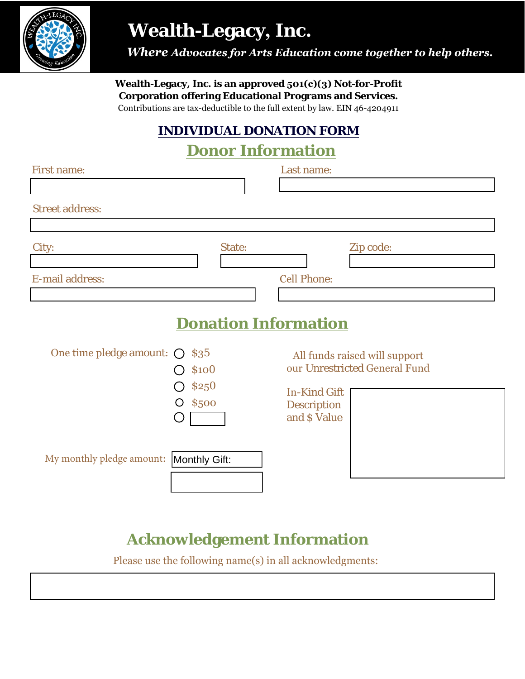

# **Wealth-Legacy, Inc.**

 *Where Advocates for Arts Education come together to help others.*

**Wealth-Legacy, Inc. is an approved 501(c)(3) Not-for-Profit Corporation offering Educational Programs and Services.**

Contributions are tax-deductible to the full extent by law. EIN 46-4204911

### **INDIVIDUAL DONATION FORM**

#### **Donor Information**

| <b>First name:</b>                      |                                                 | Last name:                                                |                                                                |
|-----------------------------------------|-------------------------------------------------|-----------------------------------------------------------|----------------------------------------------------------------|
| <b>Street address:</b>                  |                                                 |                                                           |                                                                |
| City:                                   | State:                                          | $\blacktriangledown$                                      | Zip code:                                                      |
| <b>E-mail address:</b>                  |                                                 | <b>Cell Phone:</b>                                        |                                                                |
|                                         |                                                 | <b>Donation Information</b>                               |                                                                |
| One time pledge amount: $\bigcirc$      | \$35<br><b>\$100</b><br><b>\$250</b><br>O \$500 | <b>In-Kind Gift</b><br><b>Description</b><br>and \$ Value | All funds raised will support<br>our Unrestricted General Fund |
| My monthly pledge amount: Monthly Gift: |                                                 |                                                           |                                                                |

## **Acknowledgement Information**

Please use the following name(s) in all acknowledgments: